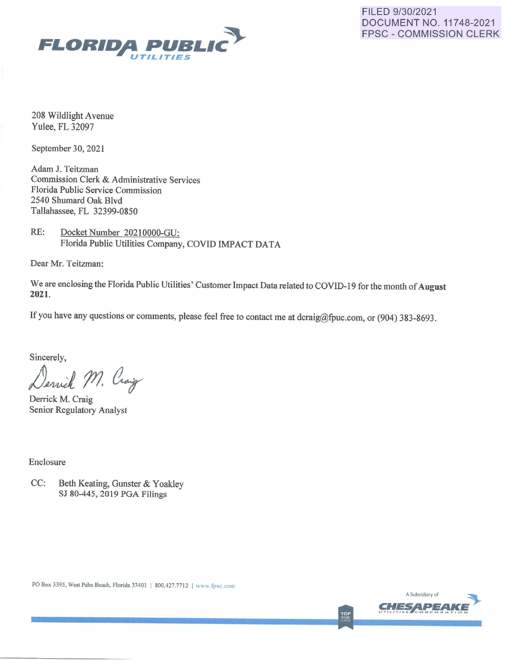

FILED 9/30/2021 DOCUMENT NO. 11748-2021 FPSC - COMMISSION CLERK

208 Wildlight Avenue Yulee, FL 32097

September 30, 2021

Adam J. Teitzman Commission Clerk & Administrative Services Florida Public Service Commission 2540 Shumard Oak Blvd Tallahassee, FL 32399-0850

RE: Docket Number 20210000-GU: Florida Public Utilities Company, COVID IMPACT DATA

Dear Mr. Teitzman:

We are enclosing the Florida Public Utilities' Customer Impact Data related to COVID-19 for the month of **August 2021.** 

If you have any questions or comments, please feel free to contact me at dcraig@fpuc.com, or (904) 383-8693.

Sincerely,

Dervick M. Craig

Derrick M. Craig Senior Regulatory Analyst

Enclosure

CC: Beth Keating, Gunster & Yoakley SJ 80-445, 2019 PGA Filings



TOP<br>WORK